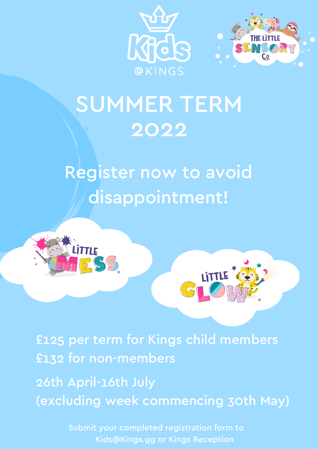



# SUMMER TERM 2022

# Register now to avoid disappointment!



£125 per term for Kings child members £132 for non-members

26th April-16th July (excluding week commencing 30th May)

> Submit your completed registration form to Kids@Kings.gg or Kings Reception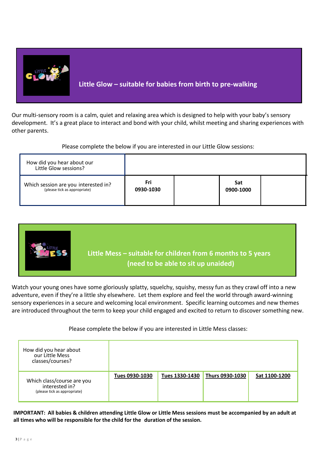

Our multi-sensory room is a calm, quiet and relaxing area which is designed to help with your baby's sensory development. It's a great place to interact and bond with your child, whilst meeting and sharing experiences with other parents.

Please complete the below if you are interested in our Little Glow sessions:

| How did you hear about our<br>Little Glow sessions?                  |                  |                  |  |
|----------------------------------------------------------------------|------------------|------------------|--|
| Which session are you interested in?<br>(please tick as appropriate) | Fri<br>0930-1030 | Sat<br>0900-1000 |  |



Watch your young ones have some gloriously splatty, squelchy, squishy, messy fun as they crawl off into a new adventure, even if they're a little shy elsewhere. Let them explore and feel the world through award-winning sensory experiences in a secure and welcoming local environment. Specific learning outcomes and new themes are introduced throughout the term to keep your child engaged and excited to return to discover something new.

## Please complete the below if you are interested in Little Mess classes:

| How did you hear about<br>our Little Mess<br>classes/courses?                |                |                |                 |               |
|------------------------------------------------------------------------------|----------------|----------------|-----------------|---------------|
| Which class/course are you<br>interested in?<br>(please tick as appropriate) | Tues 0930-1030 | Tues 1330-1430 | Thurs 0930-1030 | Sat 1100-1200 |

**IMPORTANT: All babies & children attending Little Glow or Little Mess sessions must be accompanied by an adult at all times who will be responsible for the child for the duration of the session.**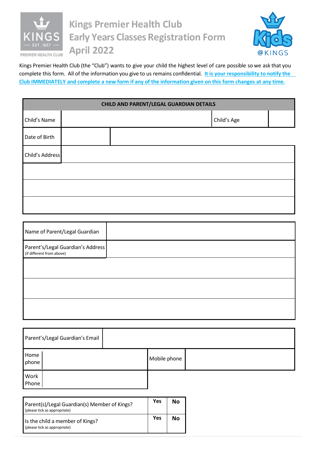

## **Kings Premier Health Club Early Years Classes Registration Form April 2022**



Kings Premier Health Club (the "Club") wants to give your child the highest level of care possible so we ask that you complete this form. All of the information you give to us remains confidential. **It is your responsibility to notify the Club IMMEDIATELY and complete a new form if any of the information given on this form changes at any time.**

| CHILD AND PARENT/LEGAL GUARDIAN DETAILS |  |  |             |  |  |
|-----------------------------------------|--|--|-------------|--|--|
| Child's Name                            |  |  | Child's Age |  |  |
| Date of Birth                           |  |  |             |  |  |
| Child's Address                         |  |  |             |  |  |
|                                         |  |  |             |  |  |
|                                         |  |  |             |  |  |
|                                         |  |  |             |  |  |

| Name of Parent/Legal Guardian                                  |  |
|----------------------------------------------------------------|--|
| Parent's/Legal Guardian's Address<br>(if different from above) |  |
|                                                                |  |
|                                                                |  |
|                                                                |  |
|                                                                |  |

| Parent's/Legal Guardian's Email |              |  |
|---------------------------------|--------------|--|
| Home<br>phone                   | Mobile phone |  |
| Work<br>Phone                   |              |  |

| Parent(s)/Legal Guardian(s) Member of Kings?<br>(please tick as appropriate) | Yes | No |
|------------------------------------------------------------------------------|-----|----|
| Is the child a member of Kings?<br>(please tick as appropriate)              | Yes | No |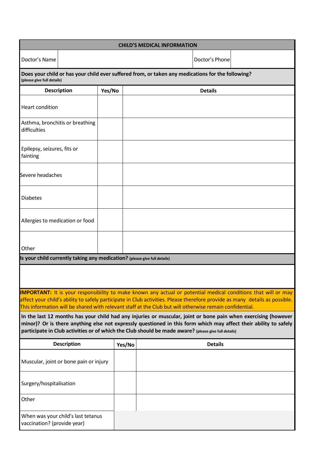| <b>CHILD'S MEDICAL INFORMATION</b>                                                                                                                                                                                                                                                                                                                                                                                                                    |                                                                                                                                 |        |        |  |                |                                                                                                                                                                                                                                                      |
|-------------------------------------------------------------------------------------------------------------------------------------------------------------------------------------------------------------------------------------------------------------------------------------------------------------------------------------------------------------------------------------------------------------------------------------------------------|---------------------------------------------------------------------------------------------------------------------------------|--------|--------|--|----------------|------------------------------------------------------------------------------------------------------------------------------------------------------------------------------------------------------------------------------------------------------|
| Doctor's Name                                                                                                                                                                                                                                                                                                                                                                                                                                         |                                                                                                                                 |        |        |  | Doctor's Phone |                                                                                                                                                                                                                                                      |
|                                                                                                                                                                                                                                                                                                                                                                                                                                                       | Does your child or has your child ever suffered from, or taken any medications for the following?<br>(please give full details) |        |        |  |                |                                                                                                                                                                                                                                                      |
| <b>Description</b>                                                                                                                                                                                                                                                                                                                                                                                                                                    |                                                                                                                                 | Yes/No |        |  | <b>Details</b> |                                                                                                                                                                                                                                                      |
| Heart condition                                                                                                                                                                                                                                                                                                                                                                                                                                       |                                                                                                                                 |        |        |  |                |                                                                                                                                                                                                                                                      |
| Asthma, bronchitis or breathing<br>difficulties                                                                                                                                                                                                                                                                                                                                                                                                       |                                                                                                                                 |        |        |  |                |                                                                                                                                                                                                                                                      |
| Epilepsy, seizures, fits or<br>fainting                                                                                                                                                                                                                                                                                                                                                                                                               |                                                                                                                                 |        |        |  |                |                                                                                                                                                                                                                                                      |
| Severe headaches                                                                                                                                                                                                                                                                                                                                                                                                                                      |                                                                                                                                 |        |        |  |                |                                                                                                                                                                                                                                                      |
| <b>Diabetes</b>                                                                                                                                                                                                                                                                                                                                                                                                                                       |                                                                                                                                 |        |        |  |                |                                                                                                                                                                                                                                                      |
| Allergies to medication or food                                                                                                                                                                                                                                                                                                                                                                                                                       |                                                                                                                                 |        |        |  |                |                                                                                                                                                                                                                                                      |
| Other                                                                                                                                                                                                                                                                                                                                                                                                                                                 |                                                                                                                                 |        |        |  |                |                                                                                                                                                                                                                                                      |
| Is your child currently taking any medication? (please give full details)                                                                                                                                                                                                                                                                                                                                                                             |                                                                                                                                 |        |        |  |                |                                                                                                                                                                                                                                                      |
|                                                                                                                                                                                                                                                                                                                                                                                                                                                       |                                                                                                                                 |        |        |  |                |                                                                                                                                                                                                                                                      |
|                                                                                                                                                                                                                                                                                                                                                                                                                                                       |                                                                                                                                 |        |        |  |                | <b>IMPORTANT:</b> It is your responsibility to make known any actual or potential medical conditions that will or may<br>affect your child's ability to safely participate in Club activities. Please therefore provide as many details as possible. |
| This information will be shared with relevant staff at the Club but will otherwise remain confidential.<br>In the last 12 months has your child had any injuries or muscular, joint or bone pain when exercising (however<br>minor)? Or is there anything else not expressly questioned in this form which may affect their ability to safely<br>participate in Club activities or of which the Club should be made aware? (please give full details) |                                                                                                                                 |        |        |  |                |                                                                                                                                                                                                                                                      |
|                                                                                                                                                                                                                                                                                                                                                                                                                                                       | <b>Description</b>                                                                                                              |        | Yes/No |  | <b>Details</b> |                                                                                                                                                                                                                                                      |
| Muscular, joint or bone pain or injury                                                                                                                                                                                                                                                                                                                                                                                                                |                                                                                                                                 |        |        |  |                |                                                                                                                                                                                                                                                      |
| Surgery/hospitalisation                                                                                                                                                                                                                                                                                                                                                                                                                               |                                                                                                                                 |        |        |  |                |                                                                                                                                                                                                                                                      |
| Other                                                                                                                                                                                                                                                                                                                                                                                                                                                 |                                                                                                                                 |        |        |  |                |                                                                                                                                                                                                                                                      |
| When was your child's last tetanus<br>vaccination? (provide year)                                                                                                                                                                                                                                                                                                                                                                                     |                                                                                                                                 |        |        |  |                |                                                                                                                                                                                                                                                      |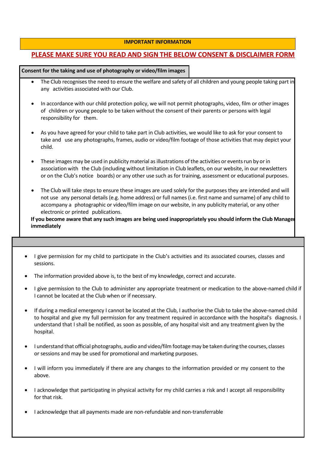#### **IMPORTANT INFORMATION**

### **PLEASE MAKE SURE YOU READ AND SIGN THE BELOW CONSENT & DISCLAIMER FORM**

### **Consent for the taking and use of photography or video/film images**

- The Club recognises the need to ensure the welfare and safety of all children and young people taking part in any activities associated with our Club.
- In accordance with our child protection policy, we will not permit photographs, video, film or other images of children or young people to be taken without the consent of their parents or persons with legal responsibility for them.
- As you have agreed for your child to take part in Club activities, we would like to ask for your consent to take and use any photographs, frames, audio or video/film footage of those activities that may depict your child.
- These images may be used in publicity material as illustrations of the activities or events run by or in association with the Club (including without limitation in Club leaflets, on our website, in our newsletters or on the Club's notice boards) or any other use such as for training, assessment or educational purposes.
- The Club will take steps to ensure these images are used solely for the purposes they are intended and will not use any personal details (e.g. home address) or full names (i.e. first name and surname) of any child to accompany a photographic or video/film image on our website, in any publicity material, or any other electronic or printed publications.

**If you become aware that any such images are being used inappropriately you should inform the Club Manager immediately**

- I give permission for my child to participate in the Club's activities and its associated courses, classes and sessions.
- The information provided above is, to the best of my knowledge, correct and accurate.
- I give permission to the Club to administer any appropriate treatment or medication to the above-named child if I cannot be located at the Club when or if necessary.
- If during a medical emergency I cannot be located at the Club, I authorise the Club to take the above-named child to hospital and give my full permission for any treatment required in accordance with the hospital's diagnosis. I understand that I shall be notified, as soon as possible, of any hospital visit and any treatment given by the hospital.
- I understand that official photographs, audio and video/film footagemay be taken during the courses, classes or sessions and may be used for promotional and marketing purposes.
- I will inform you immediately if there are any changes to the information provided or my consent to the above.
- I acknowledge that participating in physical activity for my child carries a risk and I accept all responsibility for that risk.
- I acknowledge that all payments made are non-refundable and non-transferrable